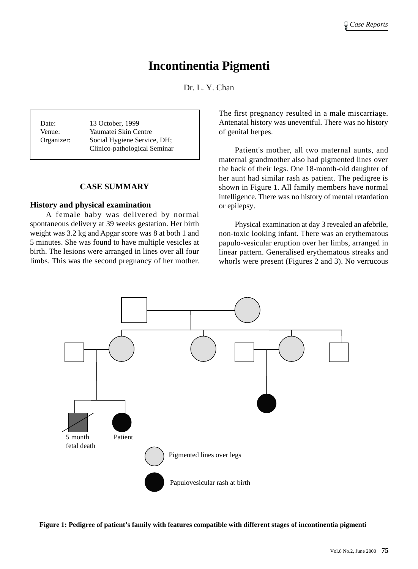# **Incontinentia Pigmenti**

Dr. L. Y. Chan

Date: 13 October, 1999 Venue: Yaumatei Skin Centre Organizer: Social Hygiene Service, DH; Clinico-pathological Seminar

# **CASE SUMMARY**

# **History and physical examination**

A female baby was delivered by normal spontaneous delivery at 39 weeks gestation. Her birth weight was 3.2 kg and Apgar score was 8 at both 1 and 5 minutes. She was found to have multiple vesicles at birth. The lesions were arranged in lines over all four limbs. This was the second pregnancy of her mother. The first pregnancy resulted in a male miscarriage. Antenatal history was uneventful. There was no history of genital herpes.

Patient's mother, all two maternal aunts, and maternal grandmother also had pigmented lines over the back of their legs. One 18-month-old daughter of her aunt had similar rash as patient. The pedigree is shown in Figure 1. All family members have normal intelligence. There was no history of mental retardation or epilepsy.

Physical examination at day 3 revealed an afebrile, non-toxic looking infant. There was an erythematous papulo-vesicular eruption over her limbs, arranged in linear pattern. Generalised erythematous streaks and whorls were present (Figures 2 and 3). No verrucous



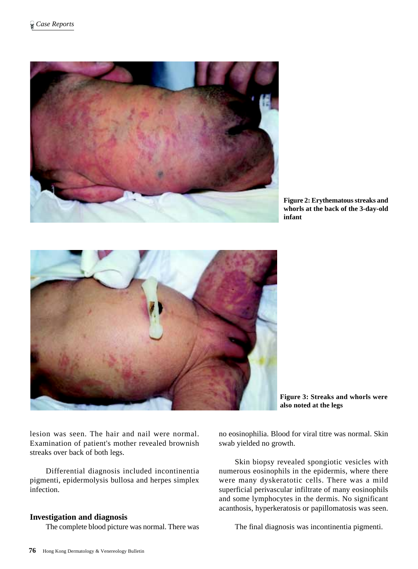

**Figure 2: Erythematous streaks and whorls at the back of the 3-day-old infant**



**Figure 3: Streaks and whorls were also noted at the legs**

lesion was seen. The hair and nail were normal. Examination of patient's mother revealed brownish streaks over back of both legs.

Differential diagnosis included incontinentia pigmenti, epidermolysis bullosa and herpes simplex infection.

## **Investigation and diagnosis**

The complete blood picture was normal. There was

no eosinophilia. Blood for viral titre was normal. Skin swab yielded no growth.

Skin biopsy revealed spongiotic vesicles with numerous eosinophils in the epidermis, where there were many dyskeratotic cells. There was a mild superficial perivascular infiltrate of many eosinophils and some lymphocytes in the dermis. No significant acanthosis, hyperkeratosis or papillomatosis was seen.

The final diagnosis was incontinentia pigmenti.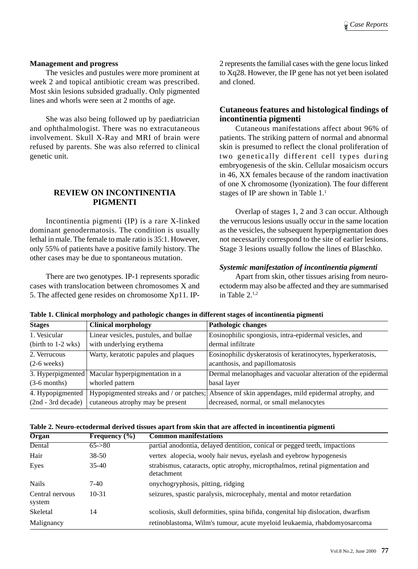#### **Management and progress**

The vesicles and pustules were more prominent at week 2 and topical antibiotic cream was prescribed. Most skin lesions subsided gradually. Only pigmented lines and whorls were seen at 2 months of age.

She was also being followed up by paediatrician and ophthalmologist. There was no extracutaneous involvement. Skull X-Ray and MRI of brain were refused by parents. She was also referred to clinical genetic unit.

# **REVIEW ON INCONTINENTIA PIGMENTI**

Incontinentia pigmenti (IP) is a rare X-linked dominant genodermatosis. The condition is usually lethal in male. The female to male ratio is 35:1. However, only 55% of patients have a positive family history. The other cases may be due to spontaneous mutation.

There are two genotypes. IP-1 represents sporadic cases with translocation between chromosomes X and 5. The affected gene resides on chromosome Xp11. IP- 2 represents the familial cases with the gene locus linked to Xq28. However, the IP gene has not yet been isolated and cloned.

# **Cutaneous features and histological findings of incontinentia pigmenti**

Cutaneous manifestations affect about 96% of patients. The striking pattern of normal and abnormal skin is presumed to reflect the clonal proliferation of two genetically different cell types during embryogenesis of the skin. Cellular mosaicism occurs in 46, XX females because of the random inactivation of one X chromosome (lyonization). The four different stages of IP are shown in Table 1.<sup>1</sup>

Overlap of stages 1, 2 and 3 can occur. Although the verrucous lesions usually occur in the same location as the vesicles, the subsequent hyperpigmentation does not necessarily correspond to the site of earlier lesions. Stage 3 lesions usually follow the lines of Blaschko.

## *Systemic manifestation of incontinentia pigmenti*

Apart from skin, other tissues arising from neuroectoderm may also be affected and they are summarised in Table 2.1,2

|  |  |  | Table 1. Clinical morphology and pathologic changes in different stages of incontinentia pigmenti |
|--|--|--|---------------------------------------------------------------------------------------------------|
|  |  |  |                                                                                                   |

| <b>Stages</b>        | <b>Clinical morphology</b>            | <b>Pathologic changes</b>                                                                       |
|----------------------|---------------------------------------|-------------------------------------------------------------------------------------------------|
| 1. Vesicular         | Linear vesicles, pustules, and bullae | Eosinophilic spongiosis, intra-epidermal vesicles, and                                          |
| $(birth to 1-2 wks)$ | with underlying erythema              | dermal infiltrate                                                                               |
| 2. Verrucous         | Warty, keratotic papules and plaques  | Eosinophilic dyskeratosis of keratinocytes, hyperkeratosis,                                     |
| $(2-6$ weeks)        |                                       | acanthosis, and papillomatosis                                                                  |
| 3. Hyperpigmented    | Macular hyperpigmentation in a        | Dermal melanophages and vacuolar alteration of the epidermal                                    |
| $(3-6$ months)       | whorled pattern                       | basal layer                                                                                     |
| 4. Hypopigmented     |                                       | Hypopigmented streaks and / or patches; Absence of skin appendages, mild epidermal atrophy, and |
| $(2nd - 3rd decade)$ | cutaneous atrophy may be present      | decreased, normal, or small melanocytes                                                         |

#### **Table 2. Neuro-ectodermal derived tissues apart from skin that are affected in incontinentia pigmenti**

| Organ                     | Frequency $(\% )$ | <b>Common manifestations</b>                                                                |
|---------------------------|-------------------|---------------------------------------------------------------------------------------------|
| Dental                    | $65 - 80$         | partial anodontia, delayed dentition, conical or pegged teeth, impactions                   |
| Hair                      | $38 - 50$         | vertex alopecia, wooly hair nevus, eyelash and eyebrow hypogenesis                          |
| Eyes                      | $35-40$           | strabismus, cataracts, optic atrophy, micropthalmos, retinal pigmentation and<br>detachment |
| <b>Nails</b>              | 7-40              | onychogryphosis, pitting, ridging                                                           |
| Central nervous<br>system | $10 - 31$         | seizures, spastic paralysis, microcephaly, mental and motor retardation                     |
| Skeletal                  | 14                | scoliosis, skull deformities, spina bifida, congenital hip dislocation, dwarfism            |
| Malignancy                |                   | retinoblastoma, Wilm's tumour, acute myeloid leukaemia, rhabdomyosarcoma                    |